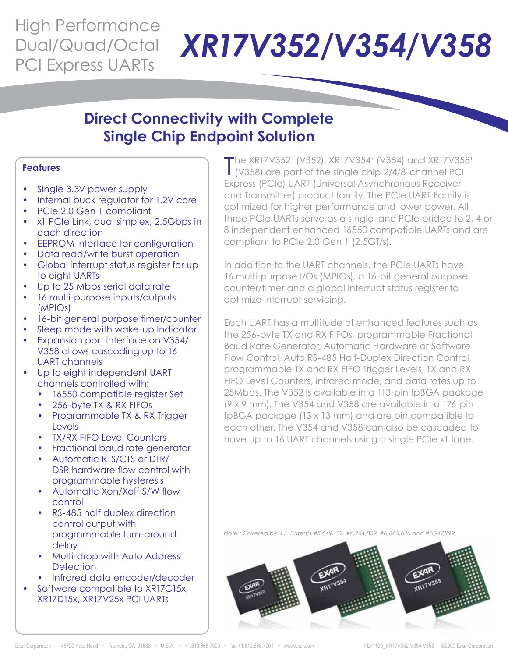## High Performance Dual/Quad/Octal

# Dual/Quad/Octal XR17V352/V354/V358

### **Direct Connectivity with Complete Single Chip Endpoint Solution**

### **Features**

- Single 3.3V power supply
- Internal buck regulator for 1.2V core
- PCIe 2.0 Gen 1 compliant
- x1 PCIe Link, dual simplex, 2.5Gbps in each direction
- EEPROM interface for configuration
- Data read/write burst operation
- Global interrupt status register for up to eight UARTs
- Up to 25 Mbps serial data rate
- 16 multi-purpose inputs/outputs (MPIOs)
- 16-bit general purpose timer/counter
- Sleep mode with wake-up Indicator
- Expansion port interface on V354/ V358 allows cascading up to 16 UART channels
- Up to eight independent UART channels controlled with:
	- 16550 compatible register Set
	- 256-byte TX & RX FIFOs
	- Programmable TX & RX Trigger Levels
	- TX/RX FIFO Level Counters
	- Fractional baud rate generator
	- Automatic RTS/CTS or DTR/ DSR hardware flow control with programmable hysteresis
	- Automatic Xon/Xoff S/W flow control
	- RS-485 half duplex direction control output with programmable turn-around delay
	- **Multi-drop with Auto Address Detection**
	- Infrared data encoder/decoder
	- Software compatible to XR17C15x, XR17D15x, XR17V25x PCI UARTs

The XR17V352<sup>1</sup> (V352), XR17V354<sup>1</sup> (V354) and XR17V354<br>(V358) are part of the single chip 2/4/8-channel PCI The XR17V352<sup>1</sup> (V352), XR17V354<sup>1</sup> (V354) and XR17V358<sup>1</sup> Express (PCIe) UART (Universal Asynchronous Receiver and Transmitter) product family. The PCIe UART Family is optimized for higher performance and lower power. All three PCIe UARTs serve as a single lane PCIe bridge to 2, 4 or 8 independent enhanced 16550 compatible UARTs and are compliant to PCIe 2.0 Gen 1 (2.5GT/s).

In addition to the UART channels, the PCIe UARTs have 16 multi-purpose I/Os (MPIOs), a 16-bit general purpose counter/timer and a global interrupt status register to optimize interrupt servicing.

Each UART has a multitude of enhanced features such as the 256-byte TX and RX FIFOs, programmable Fractional Baud Rate Generator, Automatic Hardware or Software Flow Control, Auto RS-485 Half-Duplex Direction Control, programmable TX and RX FIFO Trigger Levels, TX and RX FIFO Level Counters, infrared mode, and data rates up to 25Mbps. The V352 is available in a 113-pin fpBGA package  $(9 \times 9 \text{ mm})$ . The V354 and V358 are available in a 176-pin fpBGA package (13 x 13 mm) and are pin compatible to each other. The V354 and V358 can also be cascaded to have up to 16 UART channels using a single PCIe x1 lane.

*Note¹: Covered by U.S. Patents #5,649,122, #6,754,839, #6,865,626 and #6,947,999*